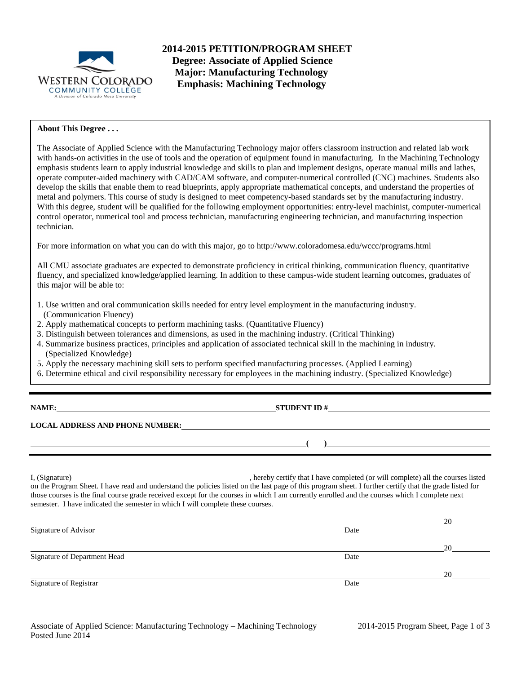

**2014-2015 PETITION/PROGRAM SHEET Degree: Associate of Applied Science Major: Manufacturing Technology Emphasis: Machining Technology**

# **About This Degree . . .**

The Associate of Applied Science with the Manufacturing Technology major offers classroom instruction and related lab work with hands-on activities in the use of tools and the operation of equipment found in manufacturing. In the Machining Technology emphasis students learn to apply industrial knowledge and skills to plan and implement designs, operate manual mills and lathes, operate computer-aided machinery with CAD/CAM software, and computer-numerical controlled (CNC) machines. Students also develop the skills that enable them to read blueprints, apply appropriate mathematical concepts, and understand the properties of metal and polymers. This course of study is designed to meet competency-based standards set by the manufacturing industry. With this degree, student will be qualified for the following employment opportunities: entry-level machinist, computer-numerical control operator, numerical tool and process technician, manufacturing engineering technician, and manufacturing inspection technician.

For more information on what you can do with this major, go to http://www.coloradomesa.edu/wccc/programs.html

All CMU associate graduates are expected to demonstrate proficiency in critical thinking, communication fluency, quantitative fluency, and specialized knowledge/applied learning. In addition to these campus-wide student learning outcomes, graduates of this major will be able to:

- 1. Use written and oral communication skills needed for entry level employment in the manufacturing industry. (Communication Fluency)
- 2. Apply mathematical concepts to perform machining tasks. (Quantitative Fluency)
- 3. Distinguish between tolerances and dimensions, as used in the machining industry. (Critical Thinking)
- 4. Summarize business practices, principles and application of associated technical skill in the machining in industry. (Specialized Knowledge)
- 5. Apply the necessary machining skill sets to perform specified manufacturing processes. (Applied Learning)
- 6. Determine ethical and civil responsibility necessary for employees in the machining industry. (Specialized Knowledge)

| <b>NAME:</b> |  |
|--------------|--|
|              |  |

**STUDENT ID #** 

**( )**

**LOCAL ADDRESS AND PHONE NUMBER:**

I, (Signature) , hereby certify that I have completed (or will complete) all the courses listed on the Program Sheet. I have read and understand the policies listed on the last page of this program sheet. I further certify that the grade listed for those courses is the final course grade received except for the courses in which I am currently enrolled and the courses which I complete next semester. I have indicated the semester in which I will complete these courses.

|                              |      | 20 |
|------------------------------|------|----|
| Signature of Advisor         | Date |    |
|                              |      | 20 |
| Signature of Department Head | Date |    |
|                              |      | 20 |
| Signature of Registrar       | Date |    |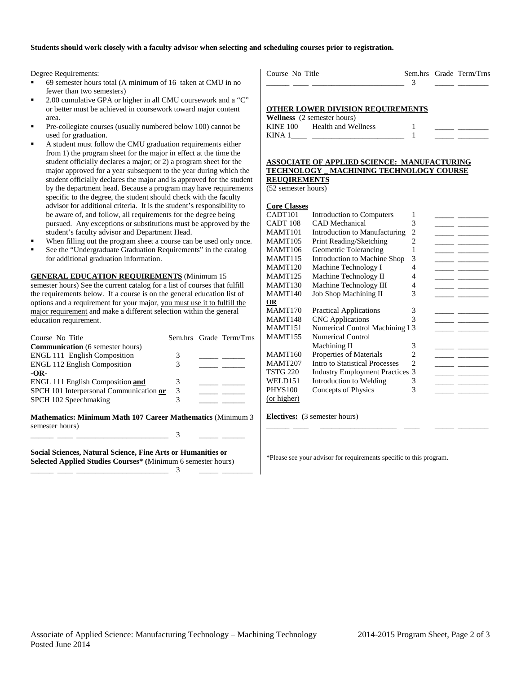## **Students should work closely with a faculty advisor when selecting and scheduling courses prior to registration.**

Degree Requirements:

education requirement.

- 69 semester hours total (A minimum of 16 taken at CMU in no fewer than two semesters)
- 2.00 cumulative GPA or higher in all CMU coursework and a "C" or better must be achieved in coursework toward major content area.
- Pre-collegiate courses (usually numbered below 100) cannot be used for graduation.
- A student must follow the CMU graduation requirements either from 1) the program sheet for the major in effect at the time the student officially declares a major; or 2) a program sheet for the major approved for a year subsequent to the year during which the student officially declares the major and is approved for the student by the department head. Because a program may have requirements specific to the degree, the student should check with the faculty advisor for additional criteria. It is the student's responsibility to be aware of, and follow, all requirements for the degree being pursued. Any exceptions or substitutions must be approved by the student's faculty advisor and Department Head.
- When filling out the program sheet a course can be used only once.
- See the "Undergraduate Graduation Requirements" in the catalog for additional graduation information.

**GENERAL EDUCATION REQUIREMENTS** (Minimum 15 semester hours) See the current catalog for a list of courses that fulfill the requirements below. If a course is on the general education list of options and a requirement for your major, you must use it to fulfill the

major requirement and make a different selection within the general

| Course No Title                                                                |   | Sem.hrs Grade Term/Trns |
|--------------------------------------------------------------------------------|---|-------------------------|
| <b>Communication</b> (6 semester hours)                                        |   |                         |
| <b>ENGL 111 English Composition</b>                                            | 3 |                         |
| <b>ENGL 112 English Composition</b>                                            | 3 |                         |
| $-OR-$                                                                         |   |                         |
| <b>ENGL 111 English Composition and</b>                                        | 3 |                         |
| SPCH 101 Interpersonal Communication or                                        | 3 |                         |
| SPCH 102 Speechmaking                                                          | 3 |                         |
| Mathematics: Minimum Math 107 Career Mathematics (Minimum 3<br>semester hours) |   |                         |
|                                                                                | 3 |                         |
| Social Sciences, Natural Science, Fine Arts or Humanities or                   |   |                         |

**Selected Applied Studies Courses\* (**Minimum 6 semester hours) \_\_\_\_\_\_ \_\_\_\_ \_\_\_\_\_\_\_\_\_\_\_\_\_\_\_\_\_\_\_\_\_\_\_\_ 3 \_\_\_\_\_ \_\_\_\_\_\_\_\_

| Course No Title |  | Sem.hrs Grade Term/Trns |  |
|-----------------|--|-------------------------|--|
|                 |  |                         |  |
|                 |  |                         |  |

# **OTHER LOWER DIVISION REQUIREMENTS**

|                 | <b>Wellness</b> (2 semester hours) |  |  |
|-----------------|------------------------------------|--|--|
| <b>KINE 100</b> | Health and Wellness                |  |  |
| KINA 1          |                                    |  |  |

#### **ASSOCIATE OF APPLIED SCIENCE: MANUFACTURING TECHNOLOGY \_ MACHINING TECHNOLOGY COURSE REUQIREMENTS**

(52 semester hours)

| <b>Core Classes</b> |
|---------------------|
|                     |

| Introduction to Computers      | 1 |                                                                         |
|--------------------------------|---|-------------------------------------------------------------------------|
| <b>CAD</b> Mechanical          | 3 |                                                                         |
| Introduction to Manufacturing  | 2 |                                                                         |
| Print Reading/Sketching        | 2 |                                                                         |
| Geometric Tolerancing          |   |                                                                         |
| Introduction to Machine Shop   | 3 |                                                                         |
| Machine Technology I           | 4 |                                                                         |
| Machine Technology II          | 4 |                                                                         |
| Machine Technology III         | 4 |                                                                         |
| <b>Job Shop Machining II</b>   | 3 |                                                                         |
|                                |   |                                                                         |
| <b>Practical Applications</b>  | 3 |                                                                         |
| <b>CNC</b> Applications        | 3 |                                                                         |
|                                |   |                                                                         |
| Numerical Control              |   |                                                                         |
| Machining II                   | 3 |                                                                         |
| Properties of Materials        |   |                                                                         |
| Intro to Statistical Processes | 2 |                                                                         |
|                                | 3 |                                                                         |
| Introduction to Welding        | 3 |                                                                         |
| Concepts of Physics            | 3 |                                                                         |
|                                |   |                                                                         |
|                                |   | Numerical Control Machining I 3<br><b>Industry Employment Practices</b> |

\_\_\_\_\_\_ \_\_\_\_ \_\_\_\_\_\_\_\_\_\_\_\_\_\_\_\_\_\_\_\_ \_\_\_\_ \_\_\_\_\_ \_\_\_\_\_\_\_\_

### **Electives: (**3 semester hours)

\*Please see your advisor for requirements specific to this program.